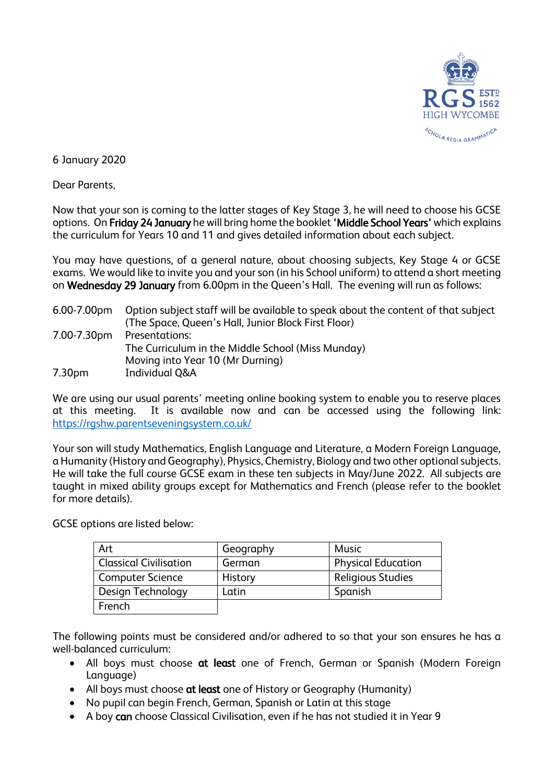

6 January 2020

Dear Parents,

Now that your son is coming to the latter stages of Key Stage 3, he will need to choose his GCSE options. On Friday 24 January he will bring home the booklet 'Middle School Years' which explains the curriculum for Years 10 and 11 and gives detailed information about each subject.

You may have questions, of a general nature, about choosing subjects, Key Stage 4 or GCSE exams. We would like to invite you and your son (in his School uniform) to attend a short meeting on Wednesday 29 January from 6.00pm in the Queen's Hall. The evening will run as follows:

| 6.00-7.00pm        | Option subject staff will be available to speak about the content of that subject |  |
|--------------------|-----------------------------------------------------------------------------------|--|
|                    | (The Space, Queen's Hall, Junior Block First Floor)                               |  |
| 7.00-7.30pm        | Presentations:                                                                    |  |
|                    | The Curriculum in the Middle School (Miss Munday)                                 |  |
|                    | Moving into Year 10 (Mr Durning)                                                  |  |
| 7.30 <sub>pm</sub> | <b>Individual Q&amp;A</b>                                                         |  |

We are using our usual parents' meeting online booking system to enable you to reserve places at this meeting. It is available now and can be accessed using the following link: <https://rgshw.parentseveningsystem.co.uk/>

Your son will study Mathematics, English Language and Literature, a Modern Foreign Language, a Humanity (History and Geography), Physics, Chemistry, Biology and two other optional subjects. He will take the full course GCSE exam in these ten subjects in May/June 2022. All subjects are taught in mixed ability groups except for Mathematics and French (please refer to the booklet for more details).

GCSE options are listed below:

| Art                           | Geography | Music                     |
|-------------------------------|-----------|---------------------------|
| <b>Classical Civilisation</b> | German    | <b>Physical Education</b> |
| <b>Computer Science</b>       | History   | <b>Religious Studies</b>  |
| Design Technology             | Latin     | Spanish                   |
| French                        |           |                           |

The following points must be considered and/or adhered to so that your son ensures he has a well-balanced curriculum:

- All boys must choose at least one of French, German or Spanish (Modern Foreign Language)
- All boys must choose at least one of History or Geography (Humanity)
- No pupil can begin French, German, Spanish or Latin at this stage
- A boy can choose Classical Civilisation, even if he has not studied it in Year 9